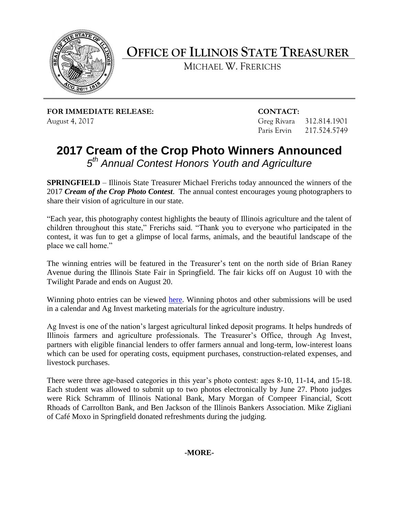

**OFFICE OF ILLINOIS STATE TREASURER** 

MICHAEL W. FRERICHS

**FOR IMMEDIATE RELEASE: CONTACT:** August 4, 2017

Greg Rivara 312.814.1901 Paris Ervin 217.524.5749

# **2017 Cream of the Crop Photo Winners Announced**  *5th Annual Contest Honors Youth and Agriculture*

 **SPRINGFIELD** – Illinois State Treasurer Michael Frerichs today announced the winners of the  2017 *Cream of the Crop Photo Contest*. The annual contest encourages young photographers to share their vision of agriculture in our state.

"Each year, this photography contest highlights the beauty of Illinois agriculture and the talent of children throughout this state," Frerichs said. "Thank you to everyone who participated in the contest, it was fun to get a glimpse of local farms, animals, and the beautiful landscape of the place we call home."

 The winning entries will be featured in the Treasurer's tent on the north side of Brian Raney Avenue during the Illinois State Fair in Springfield. The fair kicks off on August 10 with the Twilight Parade and ends on August 20.

Winning photo entries can be viewed [here.](http://illinoistreasurer.gov/Individuals/Ag_Invest/Cream_of_the_Crop_Winners) Winning photos and other submissions will be used in a calendar and Ag Invest marketing materials for the agriculture industry.

 Ag Invest is one of the nation's largest agricultural linked deposit programs. It helps hundreds of which can be used for operating costs, equipment purchases, construction-related expenses, and Illinois farmers and agriculture professionals. The Treasurer's Office, through Ag Invest, partners with eligible financial lenders to offer farmers annual and long-term, low-interest loans livestock purchases.

 There were three age-based categories in this year's photo contest: ages 8-10, 11-14, and 15-18. Each student was allowed to submit up to two photos electronically by June 27. Photo judges were Rick Schramm of Illinois National Bank, Mary Morgan of Compeer Financial, Scott Rhoads of Carrollton Bank, and Ben Jackson of the Illinois Bankers Association. Mike Zigliani of Café Moxo in Springfield donated refreshments during the judging.

## **-MORE-**